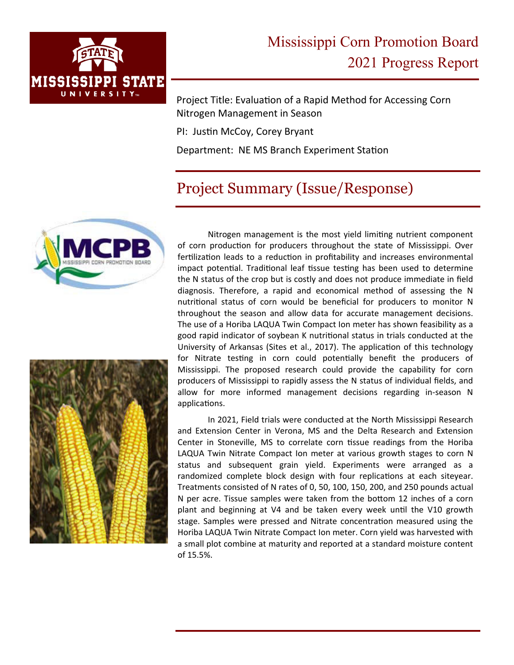

Project Title: Evaluation of a Rapid Method for Accessing Corn Nitrogen Management in Season

PI: Justin McCoy, Corey Bryant

Department: NE MS Branch Experiment Station

## Project Summary (Issue/Response)





Nitrogen management is the most yield limiting nutrient component of corn production for producers throughout the state of Mississippi. Over fertilization leads to a reduction in profitability and increases environmental impact potential. Traditional leaf tissue testing has been used to determine the N status of the crop but is costly and does not produce immediate in field diagnosis. Therefore, a rapid and economical method of assessing the N nutritional status of corn would be beneficial for producers to monitor N throughout the season and allow data for accurate management decisions. The use of a Horiba LAQUA Twin Compact Ion meter has shown feasibility as a good rapid indicator of soybean K nutritional status in trials conducted at the University of Arkansas (Sites et al., 2017). The application of this technology for Nitrate testing in corn could potentially benefit the producers of Mississippi. The proposed research could provide the capability for corn producers of Mississippi to rapidly assess the N status of individual fields, and allow for more informed management decisions regarding in‐season N applications.

In 2021, Field trials were conducted at the North Mississippi Research and Extension Center in Verona, MS and the Delta Research and Extension Center in Stoneville, MS to correlate corn tissue readings from the Horiba LAQUA Twin Nitrate Compact Ion meter at various growth stages to corn N status and subsequent grain yield. Experiments were arranged as a randomized complete block design with four replications at each siteyear. Treatments consisted of N rates of 0, 50, 100, 150, 200, and 250 pounds actual N per acre. Tissue samples were taken from the bottom 12 inches of a corn plant and beginning at V4 and be taken every week until the V10 growth stage. Samples were pressed and Nitrate concentration measured using the Horiba LAQUA Twin Nitrate Compact Ion meter. Corn yield was harvested with a small plot combine at maturity and reported at a standard moisture content of 15.5%.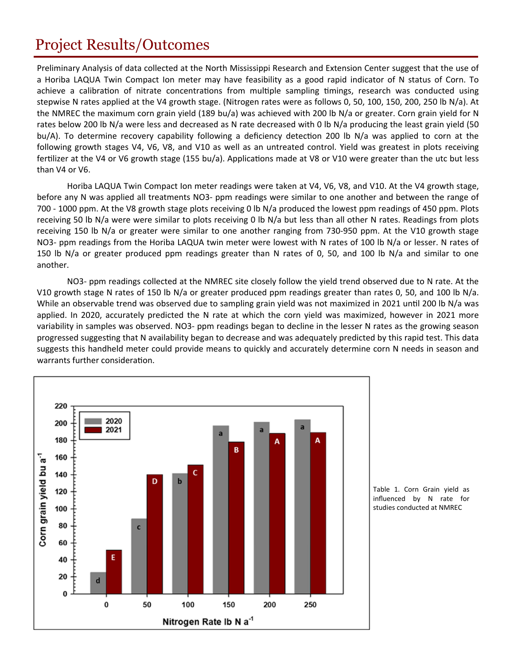## Project Results/Outcomes

Preliminary Analysis of data collected at the North Mississippi Research and Extension Center suggest that the use of a Horiba LAQUA Twin Compact Ion meter may have feasibility as a good rapid indicator of N status of Corn. To achieve a calibration of nitrate concentrations from multiple sampling timings, research was conducted using stepwise N rates applied at the V4 growth stage. (Nitrogen rates were as follows 0, 50, 100, 150, 200, 250 lb N/a). At the NMREC the maximum corn grain yield (189 bu/a) was achieved with 200 lb N/a or greater. Corn grain yield for N rates below 200 lb N/a were less and decreased as N rate decreased with 0 lb N/a producing the least grain yield (50 bu/A). To determine recovery capability following a deficiency detection 200 lb N/a was applied to corn at the following growth stages V4, V6, V8, and V10 as well as an untreated control. Yield was greatest in plots receiving fertilizer at the V4 or V6 growth stage (155 bu/a). Applications made at V8 or V10 were greater than the utc but less than V4 or V6.

 Horiba LAQUA Twin Compact Ion meter readings were taken at V4, V6, V8, and V10. At the V4 growth stage, before any N was applied all treatments NO3‐ ppm readings were similar to one another and between the range of 700 ‐ 1000 ppm. At the V8 growth stage plots receiving 0 lb N/a produced the lowest ppm readings of 450 ppm. Plots receiving 50 lb N/a were were similar to plots receiving 0 lb N/a but less than all other N rates. Readings from plots receiving 150 lb N/a or greater were similar to one another ranging from 730‐950 ppm. At the V10 growth stage NO3‐ ppm readings from the Horiba LAQUA twin meter were lowest with N rates of 100 lb N/a or lesser. N rates of 150 lb N/a or greater produced ppm readings greater than N rates of 0, 50, and 100 lb N/a and similar to one another.

NO3- ppm readings collected at the NMREC site closely follow the yield trend observed due to N rate. At the V10 growth stage N rates of 150 lb N/a or greater produced ppm readings greater than rates 0, 50, and 100 lb N/a. While an observable trend was observed due to sampling grain yield was not maximized in 2021 until 200 lb N/a was applied. In 2020, accurately predicted the N rate at which the corn yield was maximized, however in 2021 more variability in samples was observed. NO3‐ ppm readings began to decline in the lesser N rates as the growing season progressed suggesting that N availability began to decrease and was adequately predicted by this rapid test. This data suggests this handheld meter could provide means to quickly and accurately determine corn N needs in season and warrants further consideration.



Table 1. Corn Grain yield as influenced by N rate for studies conducted at NMREC